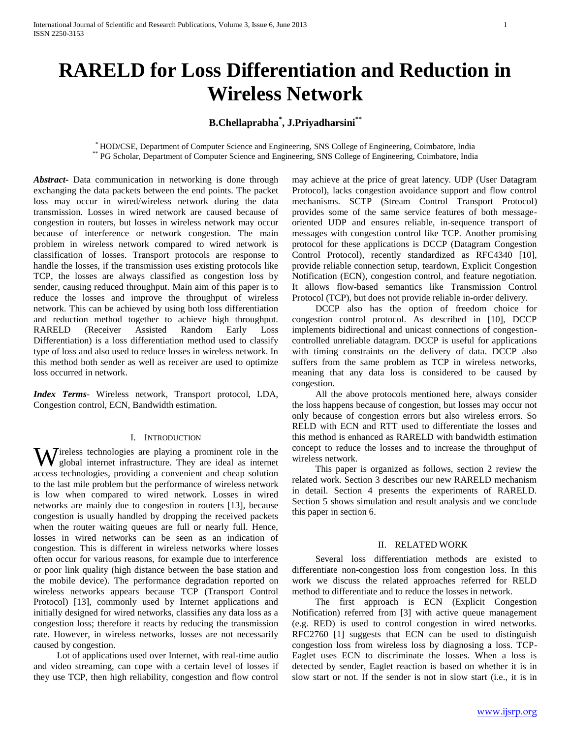# **RARELD for Loss Differentiation and Reduction in Wireless Network**

## **B.Chellaprabha\* , J.Priyadharsini\*\***

\* HOD/CSE, Department of Computer Science and Engineering, SNS College of Engineering, Coimbatore, India \*\* PG Scholar, Department of Computer Science and Engineering, SNS College of Engineering, Coimbatore, India

*Abstract***-** Data communication in networking is done through exchanging the data packets between the end points. The packet loss may occur in wired/wireless network during the data transmission. Losses in wired network are caused because of congestion in routers, but losses in wireless network may occur because of interference or network congestion. The main problem in wireless network compared to wired network is classification of losses. Transport protocols are response to handle the losses, if the transmission uses existing protocols like TCP, the losses are always classified as congestion loss by sender, causing reduced throughput. Main aim of this paper is to reduce the losses and improve the throughput of wireless network. This can be achieved by using both loss differentiation and reduction method together to achieve high throughput. RARELD (Receiver Assisted Random Early Loss Differentiation) is a loss differentiation method used to classify type of loss and also used to reduce losses in wireless network. In this method both sender as well as receiver are used to optimize loss occurred in network.

*Index Terms*- Wireless network, Transport protocol, LDA, Congestion control, ECN, Bandwidth estimation.

#### I. INTRODUCTION

ireless technologies are playing a prominent role in the Wireless technologies are playing a prominent role in the global internet infrastructure. They are ideal as internet access technologies, providing a convenient and cheap solution to the last mile problem but the performance of wireless network is low when compared to wired network. Losses in wired networks are mainly due to congestion in routers [13], because congestion is usually handled by dropping the received packets when the router waiting queues are full or nearly full. Hence, losses in wired networks can be seen as an indication of congestion. This is different in wireless networks where losses often occur for various reasons, for example due to interference or poor link quality (high distance between the base station and the mobile device). The performance degradation reported on wireless networks appears because TCP (Transport Control Protocol) [13], commonly used by Internet applications and initially designed for wired networks, classifies any data loss as a congestion loss; therefore it reacts by reducing the transmission rate. However, in wireless networks, losses are not necessarily caused by congestion.

 Lot of applications used over Internet, with real-time audio and video streaming, can cope with a certain level of losses if they use TCP, then high reliability, congestion and flow control may achieve at the price of great latency. UDP (User Datagram Protocol), lacks congestion avoidance support and flow control mechanisms. SCTP (Stream Control Transport Protocol) provides some of the same service features of both messageoriented UDP and ensures reliable, in-sequence transport of messages with congestion control like TCP. Another promising protocol for these applications is DCCP (Datagram Congestion Control Protocol), recently standardized as RFC4340 [10], provide reliable connection setup, teardown, Explicit Congestion Notification (ECN), congestion control, and feature negotiation. It allows flow-based semantics like Transmission Control Protocol (TCP), but does not provide reliable in-order delivery.

 DCCP also has the option of freedom choice for congestion control protocol. As described in [10], DCCP implements bidirectional and unicast connections of congestioncontrolled unreliable datagram. DCCP is useful for applications with timing constraints on the delivery of data. DCCP also suffers from the same problem as TCP in wireless networks, meaning that any data loss is considered to be caused by congestion.

 All the above protocols mentioned here, always consider the loss happens because of congestion, but losses may occur not only because of congestion errors but also wireless errors. So RELD with ECN and RTT used to differentiate the losses and this method is enhanced as RARELD with bandwidth estimation concept to reduce the losses and to increase the throughput of wireless network.

 This paper is organized as follows, section 2 review the related work. Section 3 describes our new RARELD mechanism in detail. Section 4 presents the experiments of RARELD. Section 5 shows simulation and result analysis and we conclude this paper in section 6.

#### II. RELATED WORK

 Several loss differentiation methods are existed to differentiate non-congestion loss from congestion loss. In this work we discuss the related approaches referred for RELD method to differentiate and to reduce the losses in network.

 The first approach is ECN (Explicit Congestion Notification) referred from [3] with active queue management (e.g. RED) is used to control congestion in wired networks. RFC2760 [1] suggests that ECN can be used to distinguish congestion loss from wireless loss by diagnosing a loss. TCP-Eaglet uses ECN to discriminate the losses. When a loss is detected by sender, Eaglet reaction is based on whether it is in slow start or not. If the sender is not in slow start (i.e., it is in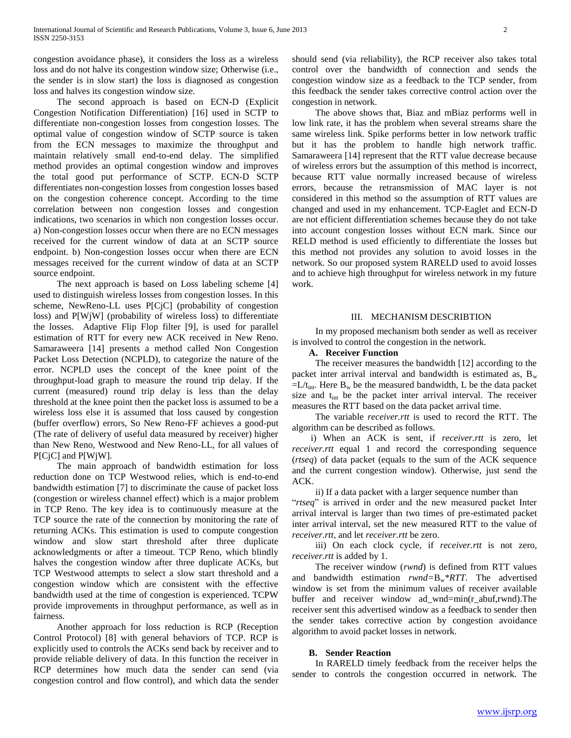congestion avoidance phase), it considers the loss as a wireless loss and do not halve its congestion window size; Otherwise (i.e., the sender is in slow start) the loss is diagnosed as congestion loss and halves its congestion window size.

 The second approach is based on ECN-D (Explicit Congestion Notification Differentiation) [16] used in SCTP to differentiate non-congestion losses from congestion losses. The optimal value of congestion window of SCTP source is taken from the ECN messages to maximize the throughput and maintain relatively small end-to-end delay. The simplified method provides an optimal congestion window and improves the total good put performance of SCTP. ECN-D SCTP differentiates non-congestion losses from congestion losses based on the congestion coherence concept. According to the time correlation between non congestion losses and congestion indications, two scenarios in which non congestion losses occur. a) Non-congestion losses occur when there are no ECN messages received for the current window of data at an SCTP source endpoint. b) Non-congestion losses occur when there are ECN messages received for the current window of data at an SCTP source endpoint.

 The next approach is based on Loss labeling scheme [4] used to distinguish wireless losses from congestion losses. In this scheme, NewReno-LL uses P[CjC] (probability of congestion loss) and P[WjW] (probability of wireless loss) to differentiate the losses. Adaptive Flip Flop filter [9], is used for parallel estimation of RTT for every new ACK received in New Reno. Samaraweera [14] presents a method called Non Congestion Packet Loss Detection (NCPLD), to categorize the nature of the error. NCPLD uses the concept of the knee point of the throughput-load graph to measure the round trip delay. If the current (measured) round trip delay is less than the delay threshold at the knee point then the packet loss is assumed to be a wireless loss else it is assumed that loss caused by congestion (buffer overflow) errors, So New Reno-FF achieves a good-put (The rate of delivery of useful data measured by receiver) higher than New Reno, Westwood and New Reno-LL, for all values of P[CjC] and P[WjW].

 The main approach of bandwidth estimation for loss reduction done on TCP Westwood relies, which is end-to-end bandwidth estimation [7] to discriminate the cause of packet loss (congestion or wireless channel effect) which is a major problem in TCP Reno. The key idea is to continuously measure at the TCP source the rate of the connection by monitoring the rate of returning ACKs. This estimation is used to compute congestion window and slow start threshold after three duplicate acknowledgments or after a timeout. TCP Reno, which blindly halves the congestion window after three duplicate ACKs, but TCP Westwood attempts to select a slow start threshold and a congestion window which are consistent with the effective bandwidth used at the time of congestion is experienced. TCPW provide improvements in throughput performance, as well as in fairness.

 Another approach for loss reduction is RCP (Reception Control Protocol) [8] with general behaviors of TCP. RCP is explicitly used to controls the ACKs send back by receiver and to provide reliable delivery of data. In this function the receiver in RCP determines how much data the sender can send (via congestion control and flow control), and which data the sender should send (via reliability), the RCP receiver also takes total control over the bandwidth of connection and sends the congestion window size as a feedback to the TCP sender, from this feedback the sender takes corrective control action over the congestion in network.

 The above shows that, Biaz and mBiaz performs well in low link rate, it has the problem when several streams share the same wireless link. Spike performs better in low network traffic but it has the problem to handle high network traffic. Samaraweera [14] represent that the RTT value decrease because of wireless errors but the assumption of this method is incorrect, because RTT value normally increased because of wireless errors, because the retransmission of MAC layer is not considered in this method so the assumption of RTT values are changed and used in my enhancement. TCP-Eaglet and ECN-D are not efficient differentiation schemes because they do not take into account congestion losses without ECN mark. Since our RELD method is used efficiently to differentiate the losses but this method not provides any solution to avoid losses in the network. So our proposed system RARELD used to avoid losses and to achieve high throughput for wireless network in my future work.

#### III. MECHANISM DESCRIBTION

 In my proposed mechanism both sender as well as receiver is involved to control the congestion in the network.

### **A. Receiver Function**

 The receiver measures the bandwidth [12] according to the packet inter arrival interval and bandwidth is estimated as,  $B_w$  $=L/t_{int}$ . Here B<sub>w</sub> be the measured bandwidth, L be the data packet size and  $t_{int}$  be the packet inter arrival interval. The receiver measures the RTT based on the data packet arrival time.

 The variable *receiver.rtt* is used to record the RTT. The algorithm can be described as follows.

 i) When an ACK is sent, if *receiver.rtt* is zero, let *receiver.rtt* equal 1 and record the corresponding sequence (*rtseq*) of data packet (equals to the sum of the ACK sequence and the current congestion window). Otherwise, just send the ACK.

ii) If a data packet with a larger sequence number than

"*rtseq*" is arrived in order and the new measured packet Inter arrival interval is larger than two times of pre-estimated packet inter arrival interval, set the new measured RTT to the value of *receiver.rtt*, and let *receiver.rtt* be zero.

 iii) On each clock cycle, if *receiver.rtt* is not zero, *receiver.rtt* is added by 1.

 The receiver window (*rwnd*) is defined from RTT values and bandwidth estimation *rwnd=*Bw*\*RTT*. The advertised window is set from the minimum values of receiver available buffer and receiver window ad\_wnd=min(r\_abuf,rwnd).The receiver sent this advertised window as a feedback to sender then the sender takes corrective action by congestion avoidance algorithm to avoid packet losses in network.

#### **B. Sender Reaction**

 In RARELD timely feedback from the receiver helps the sender to controls the congestion occurred in network. The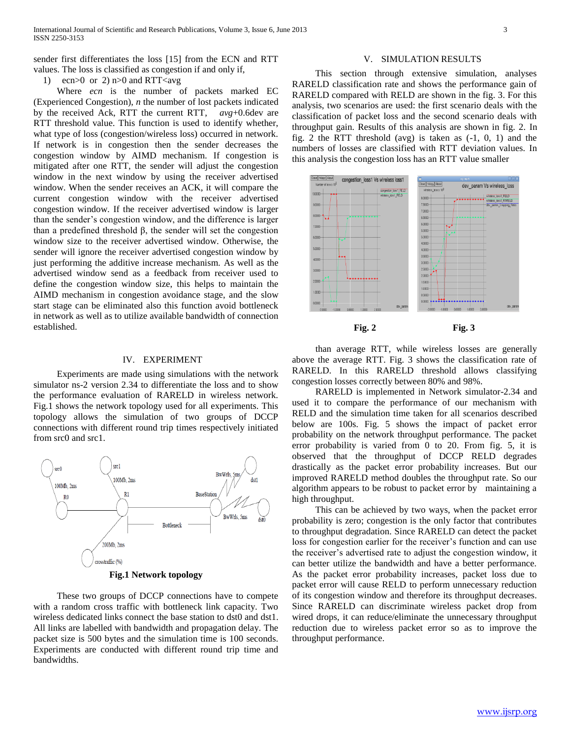sender first differentiates the loss [15] from the ECN and RTT values. The loss is classified as congestion if and only if,

1) ecn $>0$  or 2) n $>0$  and RTT $\lt$ avg

 Where *ecn* is the number of packets marked EC (Experienced Congestion), *n* the number of lost packets indicated by the received Ack, RTT the current RTT, *avg*+0.6dev are RTT threshold value. This function is used to identify whether, what type of loss (congestion/wireless loss) occurred in network. If network is in congestion then the sender decreases the congestion window by AIMD mechanism. If congestion is mitigated after one RTT, the sender will adjust the congestion window in the next window by using the receiver advertised window. When the sender receives an ACK, it will compare the current congestion window with the receiver advertised congestion window. If the receiver advertised window is larger than the sender's congestion window, and the difference is larger than a predefined threshold β, the sender will set the congestion window size to the receiver advertised window. Otherwise, the sender will ignore the receiver advertised congestion window by just performing the additive increase mechanism. As well as the advertised window send as a feedback from receiver used to define the congestion window size, this helps to maintain the AIMD mechanism in congestion avoidance stage, and the slow start stage can be eliminated also this function avoid bottleneck in network as well as to utilize available bandwidth of connection established.

#### IV. EXPERIMENT

 Experiments are made using simulations with the network simulator ns-2 version 2.34 to differentiate the loss and to show the performance evaluation of RARELD in wireless network. Fig.1 shows the network topology used for all experiments. This topology allows the simulation of two groups of DCCP connections with different round trip times respectively initiated from src0 and src1.



**Fig.1 Network topology**

 These two groups of DCCP connections have to compete with a random cross traffic with bottleneck link capacity. Two wireless dedicated links connect the base station to dst0 and dst1. All links are labelled with bandwidth and propagation delay. The packet size is 500 bytes and the simulation time is 100 seconds. Experiments are conducted with different round trip time and bandwidths.

#### V. SIMULATION RESULTS

 This section through extensive simulation, analyses RARELD classification rate and shows the performance gain of RARELD compared with RELD are shown in the fig. 3. For this analysis, two scenarios are used: the first scenario deals with the classification of packet loss and the second scenario deals with throughput gain. Results of this analysis are shown in fig. 2. In fig. 2 the RTT threshold (avg) is taken as  $(-1, 0, 1)$  and the numbers of losses are classified with RTT deviation values. In this analysis the congestion loss has an RTT value smaller



**Fig. 2 Fig. 3**

 than average RTT, while wireless losses are generally above the average RTT. Fig. 3 shows the classification rate of RARELD. In this RARELD threshold allows classifying congestion losses correctly between 80% and 98%.

 RARELD is implemented in Network simulator-2.34 and used it to compare the performance of our mechanism with RELD and the simulation time taken for all scenarios described below are 100s. Fig. 5 shows the impact of packet error probability on the network throughput performance. The packet error probability is varied from 0 to 20. From fig. 5, it is observed that the throughput of DCCP RELD degrades drastically as the packet error probability increases. But our improved RARELD method doubles the throughput rate. So our algorithm appears to be robust to packet error by maintaining a high throughput.

 This can be achieved by two ways, when the packet error probability is zero; congestion is the only factor that contributes to throughput degradation. Since RARELD can detect the packet loss for congestion earlier for the receiver's function and can use the receiver's advertised rate to adjust the congestion window, it can better utilize the bandwidth and have a better performance. As the packet error probability increases, packet loss due to packet error will cause RELD to perform unnecessary reduction of its congestion window and therefore its throughput decreases. Since RARELD can discriminate wireless packet drop from wired drops, it can reduce/eliminate the unnecessary throughput reduction due to wireless packet error so as to improve the throughput performance.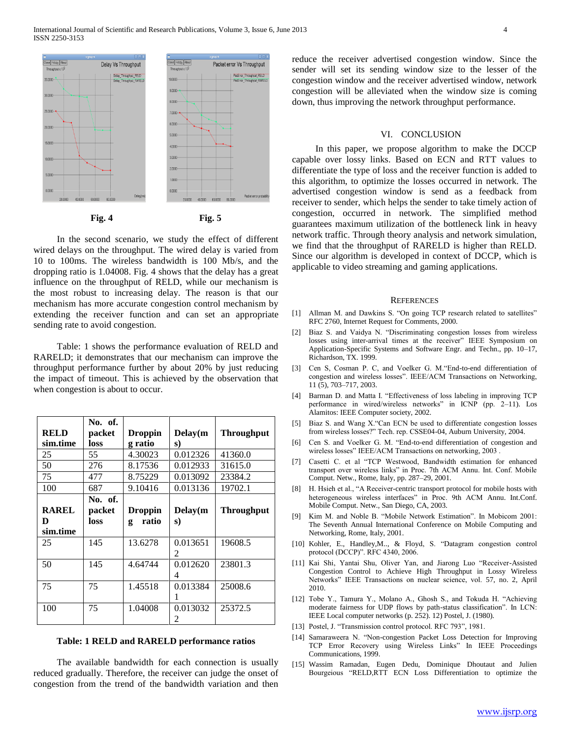

 In the second scenario, we study the effect of different wired delays on the throughput. The wired delay is varied from 10 to 100ms. The wireless bandwidth is 100 Mb/s, and the dropping ratio is 1.04008. Fig. 4 shows that the delay has a great influence on the throughput of RELD, while our mechanism is the most robust to increasing delay. The reason is that our mechanism has more accurate congestion control mechanism by extending the receiver function and can set an appropriate sending rate to avoid congestion.

 Table: 1 shows the performance evaluation of RELD and RARELD; it demonstrates that our mechanism can improve the throughput performance further by about 20% by just reducing the impact of timeout. This is achieved by the observation that when congestion is about to occur.

|              | No. of. |                |                |                   |
|--------------|---------|----------------|----------------|-------------------|
| <b>RELD</b>  | packet  | <b>Droppin</b> | Delay(m        | <b>Throughput</b> |
| sim.time     | loss    | g ratio        | s)             |                   |
| 25           | 55.     | 4.30023        | 0.012326       | 41360.0           |
| 50           | 276     | 8.17536        | 0.012933       | 31615.0           |
| 75           | 477     | 8.75229        | 0.013092       | 23384.2           |
| 100          | 687     | 9.10416        | 0.013136       | 19702.1           |
|              | No. of. |                |                |                   |
| <b>RAREL</b> | packet  | <b>Droppin</b> | Delay(m)       | <b>Throughput</b> |
| D            | loss    | ratio<br>g     | s)             |                   |
| sim.time     |         |                |                |                   |
| 25           | 145     | 13.6278        | 0.013651       | 19608.5           |
|              |         |                | $\mathfrak{D}$ |                   |
| 50           | 145     | 4.64744        | 0.012620       | 23801.3           |
|              |         |                | 4              |                   |
| 75           | 75      | 1.45518        | 0.013384       | 25008.6           |
|              |         |                | 1              |                   |
| 100          | 75      | 1.04008        | 0.013032       | 25372.5           |
|              |         |                | 2              |                   |

#### **Table: 1 RELD and RARELD performance ratios**

 The available bandwidth for each connection is usually reduced gradually. Therefore, the receiver can judge the onset of congestion from the trend of the bandwidth variation and then

reduce the receiver advertised congestion window. Since the sender will set its sending window size to the lesser of the congestion window and the receiver advertised window, network congestion will be alleviated when the window size is coming down, thus improving the network throughput performance.

#### VI. CONCLUSION

 In this paper, we propose algorithm to make the DCCP capable over lossy links. Based on ECN and RTT values to differentiate the type of loss and the receiver function is added to this algorithm, to optimize the losses occurred in network. The advertised congestion window is send as a feedback from receiver to sender, which helps the sender to take timely action of congestion, occurred in network. The simplified method guarantees maximum utilization of the bottleneck link in heavy network traffic. Through theory analysis and network simulation, we find that the throughput of RARELD is higher than RELD. Since our algorithm is developed in context of DCCP, which is applicable to video streaming and gaming applications.

#### **REFERENCES**

- [1] Allman M. and Dawkins S. "On going TCP research related to satellites" RFC 2760, Internet Request for Comments, 2000.
- [2] Biaz S. and Vaidya N. "Discriminating congestion losses from wireless losses using inter-arrival times at the receiver" IEEE Symposium on Application-Specific Systems and Software Engr. and Techn., pp. 10–17, Richardson, TX. 1999.
- [3] Cen S, Cosman P. C, and Voelker G. M."End-to-end differentiation of congestion and wireless losses". IEEE/ACM Transactions on Networking, 11 (5), 703–717, 2003.
- [4] Barman D. and Matta I. "Effectiveness of loss labeling in improving TCP performance in wired/wireless networks" in ICNP (pp. 2–11). Los Alamitos: IEEE Computer society, 2002.
- [5] Biaz S. and Wang X."Can ECN be used to differentiate congestion losses from wireless losses?" Tech. rep. CSSE04-04, Auburn University, 2004.
- [6] Cen S. and Voelker G. M. "End-to-end differentiation of congestion and wireless losses" IEEE/ACM Transactions on networking, 2003.
- [7] Casetti C. et al "TCP Westwood, Bandwidth estimation for enhanced transport over wireless links" in Proc. 7th ACM Annu. Int. Conf. Mobile Comput. Netw., Rome, Italy, pp. 287–29, 2001.
- [8] H. Hsieh et al., "A Receiver-centric transport protocol for mobile hosts with heterogeneous wireless interfaces" in Proc. 9th ACM Annu. Int.Conf. Mobile Comput. Netw., San Diego, CA, 2003.
- [9] Kim M. and Noble B. "Mobile Network Estimation". In Mobicom 2001: The Seventh Annual International Conference on Mobile Computing and Networking, Rome, Italy, 2001.
- [10] Kohler, E., Handley,M.., & Floyd, S. "Datagram congestion control protocol (DCCP)". RFC 4340, 2006.
- [11] Kai Shi, Yantai Shu, Oliver Yan, and Jiarong Luo "Receiver-Assisted Congestion Control to Achieve High Throughput in Lossy Wireless Networks" IEEE Transactions on nuclear science, vol. 57, no. 2, April 2010.
- [12] Tobe Y., Tamura Y., Molano A., Ghosh S., and Tokuda H. "Achieving moderate fairness for UDP flows by path-status classification". In LCN: IEEE Local computer networks (p. 252). 12) Postel, J. (1980).
- [13] Postel, J. "Transmission control protocol. RFC 793", 1981.
- [14] Samaraweera N. "Non-congestion Packet Loss Detection for Improving TCP Error Recovery using Wireless Links" In IEEE Proceedings Communications, 1999.
- [15] Wassim Ramadan, Eugen Dedu, Dominique Dhoutaut and Julien Bourgeious "RELD,RTT ECN Loss Differentiation to optimize the